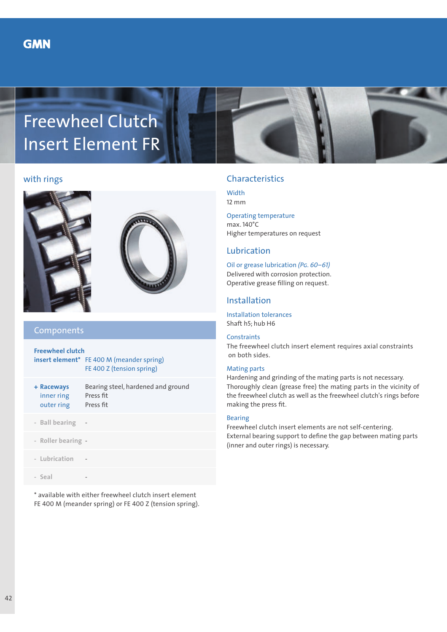

### with rings





# Components

**Freewheel clutch insert element\*** FE 400 M (meander spring) FE 400 Z (tension spring)

| + Raceways | Bearing steel, hardened and ground |
|------------|------------------------------------|
| inner ring | Press fit                          |
| outer ring | Press fit                          |
|            |                                    |

- **Ball bearing** -
- **Roller bearing** -
- **Lubrication** -
- **Seal** -

\* available with either freewheel clutch insert element FE 400 M (meander spring) or FE 400 Z (tension spring).

# Characteristics

**Width** 12 mm

Operating temperature max. 140°C Higher temperatures on request

# Lubrication

Oil or grease lubrication *(Pg. 60–61)* Delivered with corrosion protection. Operative grease filling on request.

### Installation

Installation tolerances Shaft h5; hub H6

#### **Constraints**

The freewheel clutch insert element requires axial constraints on both sides.

### Mating parts

Hardening and grinding of the mating parts is not necessary. Thoroughly clean (grease free) the mating parts in the vicinity of the freewheel clutch as well as the freewheel clutch's rings before making the press fit.

#### Bearing

Freewheel clutch insert elements are not self-centering. External bearing support to define the gap between mating parts (inner and outer rings) is necessary.